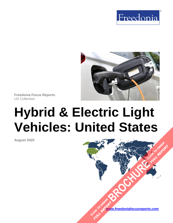



**Freedonia Focus Reports** US Collection

# **Hybrid & Electric Light Vehicles: United States**

**August 2020**

**[www.freedoniafocusreports.com](https://www.freedoniafocusreports.com/redirect.asp?progid=89534&url=/)** CLICK TO ORDER **FULL REPORT** 

**[BROCHURE](https://www.freedoniafocusreports.com/Hybrid-Electric-Light-Vehicles-United-States-FF85044/?progid=89541) CLICK TO ORDER** 

FULL REPORT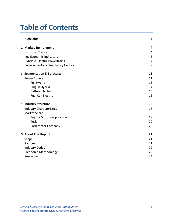# **Table of Contents**

| 1. Highlights                                 | 3              |
|-----------------------------------------------|----------------|
| 2. Market Environment                         | 4              |
| <b>Historical Trends</b>                      | 4              |
| Key Economic Indicators                       | 6              |
| <b>Hybrid &amp; Electric Powertrains</b>      | $\overline{7}$ |
| <b>Environmental &amp; Regulatory Factors</b> | 9              |
| 3. Segmentation & Forecasts                   | 11             |
| <b>Power Source</b>                           | 11             |
| Full Hybrid                                   | 13             |
| Plug-In Hybrid                                | 14             |
| <b>Battery Electric</b>                       | 15             |
| <b>Fuel Cell Electric</b>                     | 16             |
| 4. Industry Structure                         | 18             |
| <b>Industry Characteristics</b>               | 18             |
| <b>Market Share</b>                           | 19             |
| <b>Toyota Motor Corporation</b>               | 19             |
| Tesla                                         | 20             |
| <b>Ford Motor Company</b>                     | 20             |
| 5. About This Report                          | 21             |
| Scope                                         | 21             |
| Sources                                       | 21             |
| <b>Industry Codes</b>                         | 22             |
| Freedonia Methodology                         | 22             |
| Resources                                     | 24             |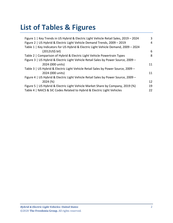# **List of Tables & Figures**

| Figure 1   Key Trends in US Hybrid & Electric Light Vehicle Retail Sales, 2019 - 2024 | 3  |
|---------------------------------------------------------------------------------------|----|
| Figure 2   US Hybrid & Electric Light Vehicle Demand Trends, 2009 - 2019              | 4  |
| Table 1   Key Indicators for US Hybrid & Electric Light Vehicle Demand, 2009 - 2024   |    |
| (2012US\$ bil)                                                                        | 6  |
| Table 2   Comparison of Hybrid & Electric Light Vehicle Powertrain Types              | 8  |
| Figure 3   US Hybrid & Electric Light Vehicle Retail Sales by Power Source, 2009 -    |    |
| 2024 (000 units)                                                                      | 11 |
| Table 3   US Hybrid & Electric Light Vehicle Retail Sales by Power Source, 2009 -     |    |
| 2024 (000 units)                                                                      | 11 |
| Figure 4   US Hybrid & Electric Light Vehicle Retail Sales by Power Source, 2009 -    |    |
| 2024 (%)                                                                              | 12 |
| Figure 5   US Hybrid & Electric Light Vehicle Market Share by Company, 2019 (%)       | 19 |
| Table 4   NAICS & SIC Codes Related to Hybrid & Electric Light Vehicles               | 22 |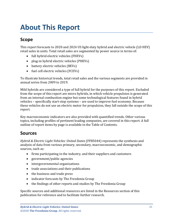# <span id="page-3-0"></span>**About This Report**

## <span id="page-3-1"></span>**Scope**

This report forecasts to 2020 and 2024 US light-duty hybrid and electric vehicle (LD HEV) retail sales in units. Total retail sales are segmented by power source in terms of:

- full hybrid electric vehicles (FHEVs)
- plug-in hybrid electric vehicles (PHEVs)
- battery electric vehicles (BEVs)
- fuel cell electric vehicles (FCEVs)

To illustrate historical trends, total retail sales and the various segments are provided in annual series from 2009 to 2019.

Mild hybrids are considered a type of full hybrid for the purposes of this report. Excluded from the scope of this report are micro hybrids, in which vehicle propulsion is generated from an internal combustion engine but some technological features found in hybrid vehicles – specifically start-stop systems – are used to improve fuel economy. Because these vehicles do not use an electric motor for propulsion, they fall outside the scope of this report.

Key macroeconomic indicators are also provided with quantified trends. Other various topics, including profiles of pertinent leading companies, are covered in this report. A full outline of report items by page is available in the Table of Contents.

## <span id="page-3-2"></span>**Sources**

*Hybrid & Electric Light Vehicles: United States* (FF85044) represents the synthesis and analysis of data from various primary, secondary, macroeconomic, and demographic sources, such as:

- firms participating in the industry, and their suppliers and customers
- government/public agencies
- intergovernmental organizations
- trade associations and their publications
- the business and trade press
- indicator forecasts by The Freedonia Group
- the findings of other reports and studies by The Freedonia Group

Specific sources and additional resources are listed in the Resources section of this publication for reference and to facilitate further research.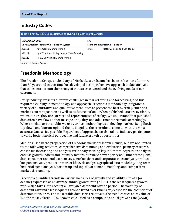## <span id="page-4-0"></span>**Industry Codes**

<span id="page-4-2"></span>

| Table 4   NAICS & SIC Codes Related to Hybrid & Electric Light Vehicles |                                               |                                           |                               |  |  |
|-------------------------------------------------------------------------|-----------------------------------------------|-------------------------------------------|-------------------------------|--|--|
| <b>NAICS/SCIAN 2017</b>                                                 |                                               | <b>SIC</b>                                |                               |  |  |
|                                                                         | North American Industry Classification System | <b>Standard Industrial Classification</b> |                               |  |  |
| 336111                                                                  | Automobile Manufacturing                      | 3711                                      | Motor Vehicles and Car Bodies |  |  |
| 336112                                                                  | Light Truck and Utility Vehicle Manufacturing |                                           |                               |  |  |
| 336120                                                                  | <b>Heavy Duty Truck Manufacturing</b>         |                                           |                               |  |  |

Source: US Census Bureau

## <span id="page-4-1"></span>**Freedonia Methodology**

The Freedonia Group, a subsidiary of MarketResearch.com, has been in business for more than 30 years and in that time has developed a comprehensive approach to data analysis that takes into account the variety of industries covered and the evolving needs of our customers.

Every industry presents different challenges in market sizing and forecasting, and this requires flexibility in methodology and approach. Freedonia methodology integrates a variety of quantitative and qualitative techniques to present the best overall picture of a market's current position as well as its future outlook: When published data are available, we make sure they are correct and representative of reality. We understand that published data often have flaws either in scope or quality, and adjustments are made accordingly. Where no data are available, we use various methodologies to develop market sizing (both top-down and bottom-up) and then triangulate those results to come up with the most accurate data series possible. Regardless of approach, we also talk to industry participants to verify both historical perspective and future growth opportunities.

Methods used in the preparation of Freedonia market research include, but are not limited to, the following activities: comprehensive data mining and evaluation, primary research, consensus forecasting and analysis, ratio analysis using key indicators, regression analysis, end use growth indices and intensity factors, purchase power parity adjustments for global data, consumer and end user surveys, market share and corporate sales analysis, product lifespan analysis, product or market life cycle analysis, graphical data modeling, long-term historical trend analysis, bottom-up and top-down demand modeling, and comparative market size ranking.

Freedonia quantifies trends in various measures of growth and volatility. Growth (or decline) expressed as an average annual growth rate (AAGR) is the least squares growth rate, which takes into account all available datapoints over a period. The volatility of datapoints around a least squares growth trend over time is expressed via the coefficient of determination, or  $r^2$ . The most stable data series relative to the trend carries an  $r^2$  value of 1.0; the most volatile – 0.0. Growth calculated as a compound annual growth rate (CAGR)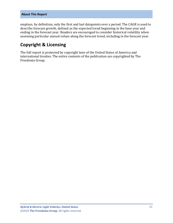employs, by definition, only the first and last datapoints over a period. The CAGR is used to describe forecast growth, defined as the expected trend beginning in the base year and ending in the forecast year. Readers are encouraged to consider historical volatility when assessing particular annual values along the forecast trend, including in the forecast year.

## **Copyright & Licensing**

The full report is protected by copyright laws of the United States of America and international treaties. The entire contents of the publication are copyrighted by The Freedonia Group.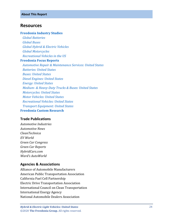#### <span id="page-6-0"></span>**Resources**

#### **[Freedonia Industry Studies](http://www.freedoniagroup.com/Home.aspx?ReferrerId=FL-Focus)**

 *[Global Batteries](http://www.freedoniagroup.com/DocumentDetails.aspx?ReferrerId=FL-FOCUS&studyid=3569) [Global Buses](http://www.freedoniagroup.com/DocumentDetails.aspx?ReferrerId=FL-FOCUS&studyid=3733) [Global Hybrid & Electric Vehicles](http://www.freedoniagroup.com/DocumentDetails.aspx?ReferrerId=FL-FOCUS&studyid=3627) [Global Motorcycles](http://www.freedoniagroup.com/DocumentDetails.aspx?ReferrerId=FL-FOCUS&studyid=3827) [Recreational Vehicles in the US](http://www.freedoniagroup.com/DocumentDetails.aspx?ReferrerId=FL-FOCUS&studyid=3624)* **[Freedonia Focus Reports](https://www.freedoniafocusreports.com/redirect.asp?progid=89534&url=/)** *[Automotive Repair & Maintenance Services: United States](https://www.freedoniafocusreports.com/Automotive-Repair-Maintenance-Services-United-States-FF95018/) [Batteries: United States](https://www.freedoniafocusreports.com/Batteries-United-States-FF45011/) [Buses: United States](https://www.freedoniafocusreports.com/Buses-United-States-FF85012/) [Diesel Engines: United States](https://www.freedoniafocusreports.com/Diesel-Engines-United-States-FF45026/) [Energy: United States](https://www.freedoniafocusreports.com/Energy-United-States-FF45043/) Medium- [& Heavy-Duty Trucks & Buses: United States](https://www.freedoniafocusreports.com/Medium-Heavy-Duty-Trucks-Buses-United-States-FF85014/) [Motorcycles: United States](https://www.freedoniafocusreports.com/Motorcycles-United-States-FF85016/) [Motor Vehicles: United States](https://www.freedoniafocusreports.com/Motor-Vehicles-United-States-FF85029/) [Recreational Vehicles: United States](https://www.freedoniafocusreports.com/Recreational-Vehicles-United-States-FF85031/) [Transport Equipment: United States](https://www.freedoniafocusreports.com/Transport-Equipment-United-States-FF85030/)* **[Freedonia Custom Research](http://www.freedoniagroup.com/CustomResearch.aspx?ReferrerId=FL-Focus)**

#### **Trade Publications**

*Automotive Industries Automotive News CleanTechnica EV World Green Car Congress Green Car Reports HybridCars.com Ward's AutoWorld*

#### **Agencies & Associations**

Alliance of Automobile Manufacturers American Public Transportation Association California Fuel Cell Partnership Electric Drive Transportation Association International Council on Clean Transportation International Energy Agency National Automobile Dealers Association